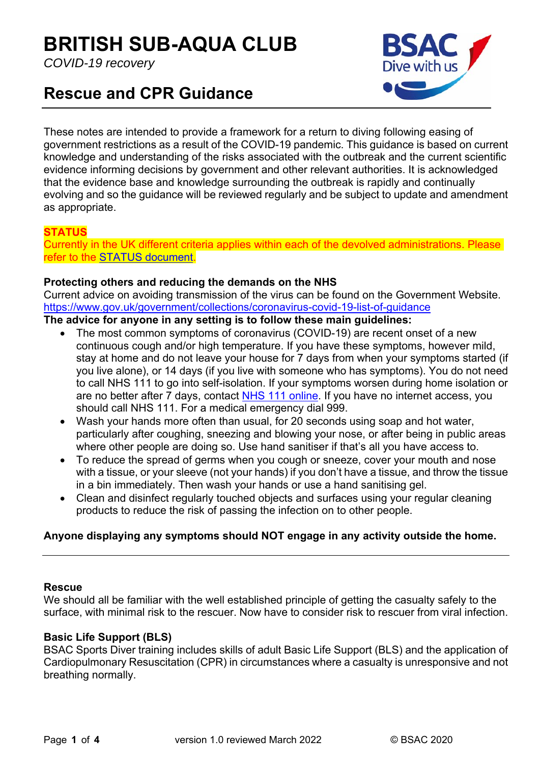# **BRITISH SUB-AQUA CLUB**

*COVID-19 recovery* 



# **Rescue and CPR Guidance**

These notes are intended to provide a framework for a return to diving following easing of government restrictions as a result of the COVID-19 pandemic. This guidance is based on current knowledge and understanding of the risks associated with the outbreak and the current scientific evidence informing decisions by government and other relevant authorities. It is acknowledged that the evidence base and knowledge surrounding the outbreak is rapidly and continually evolving and so the guidance will be reviewed regularly and be subject to update and amendment as appropriate.

# **STATUS**

Currently in the UK different criteria applies within each of the devolved administrations. Please refer to the STATUS document.

#### **Protecting others and reducing the demands on the NHS**

Current advice on avoiding transmission of the virus can be found on the Government Website. https://www.gov.uk/government/collections/coronavirus-covid-19-list-of-guidance

#### **The advice for anyone in any setting is to follow these main guidelines:**

- The most common symptoms of coronavirus (COVID-19) are recent onset of a new continuous cough and/or high temperature. If you have these symptoms, however mild, stay at home and do not leave your house for 7 days from when your symptoms started (if you live alone), or 14 days (if you live with someone who has symptoms). You do not need to call NHS 111 to go into self-isolation. If your symptoms worsen during home isolation or are no better after 7 days, contact NHS 111 online. If you have no internet access, you should call NHS 111. For a medical emergency dial 999.
- Wash your hands more often than usual, for 20 seconds using soap and hot water, particularly after coughing, sneezing and blowing your nose, or after being in public areas where other people are doing so. Use hand sanitiser if that's all you have access to.
- To reduce the spread of germs when you cough or sneeze, cover your mouth and nose with a tissue, or your sleeve (not your hands) if you don't have a tissue, and throw the tissue in a bin immediately. Then wash your hands or use a hand sanitising gel.
- Clean and disinfect regularly touched objects and surfaces using your regular cleaning products to reduce the risk of passing the infection on to other people.

## **Anyone displaying any symptoms should NOT engage in any activity outside the home.**

#### **Rescue**

We should all be familiar with the well established principle of getting the casualty safely to the surface, with minimal risk to the rescuer. Now have to consider risk to rescuer from viral infection.

#### **Basic Life Support (BLS)**

BSAC Sports Diver training includes skills of adult Basic Life Support (BLS) and the application of Cardiopulmonary Resuscitation (CPR) in circumstances where a casualty is unresponsive and not breathing normally.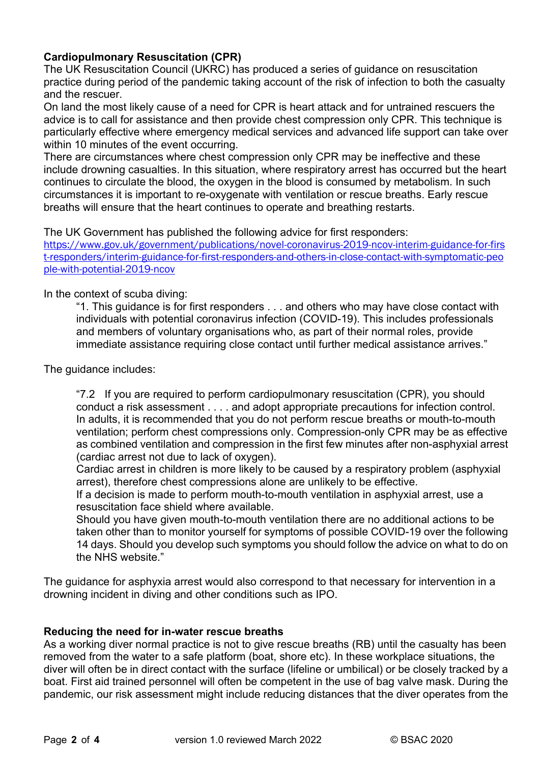## **Cardiopulmonary Resuscitation (CPR)**

The UK Resuscitation Council (UKRC) has produced a series of guidance on resuscitation practice during period of the pandemic taking account of the risk of infection to both the casualty and the rescuer.

On land the most likely cause of a need for CPR is heart attack and for untrained rescuers the advice is to call for assistance and then provide chest compression only CPR. This technique is particularly effective where emergency medical services and advanced life support can take over within 10 minutes of the event occurring.

There are circumstances where chest compression only CPR may be ineffective and these include drowning casualties. In this situation, where respiratory arrest has occurred but the heart continues to circulate the blood, the oxygen in the blood is consumed by metabolism. In such circumstances it is important to re-oxygenate with ventilation or rescue breaths. Early rescue breaths will ensure that the heart continues to operate and breathing restarts.

The UK Government has published the following advice for first responders:

https://www.gov.uk/government/publications/novel-coronavirus-2019-ncov-interim-guidance-for-firs t-responders/interim-guidance-for-first-responders-and-others-in-close-contact-with-symptomatic-peo ple-with-potential-2019-ncov

#### In the context of scuba diving:

"1. This guidance is for first responders . . . and others who may have close contact with individuals with potential coronavirus infection (COVID-19). This includes professionals and members of voluntary organisations who, as part of their normal roles, provide immediate assistance requiring close contact until further medical assistance arrives."

The guidance includes:

"7.2 If you are required to perform cardiopulmonary resuscitation (CPR), you should conduct a risk assessment . . . . and adopt appropriate precautions for infection control. In adults, it is recommended that you do not perform rescue breaths or mouth-to-mouth ventilation; perform chest compressions only. Compression-only CPR may be as effective as combined ventilation and compression in the first few minutes after non-asphyxial arrest (cardiac arrest not due to lack of oxygen).

Cardiac arrest in children is more likely to be caused by a respiratory problem (asphyxial arrest), therefore chest compressions alone are unlikely to be effective.

If a decision is made to perform mouth-to-mouth ventilation in asphyxial arrest, use a resuscitation face shield where available.

Should you have given mouth-to-mouth ventilation there are no additional actions to be taken other than to monitor yourself for symptoms of possible COVID-19 over the following 14 days. Should you develop such symptoms you should follow the advice on what to do on the NHS website."

The guidance for asphyxia arrest would also correspond to that necessary for intervention in a drowning incident in diving and other conditions such as IPO.

#### **Reducing the need for in-water rescue breaths**

As a working diver normal practice is not to give rescue breaths (RB) until the casualty has been removed from the water to a safe platform (boat, shore etc). In these workplace situations, the diver will often be in direct contact with the surface (lifeline or umbilical) or be closely tracked by a boat. First aid trained personnel will often be competent in the use of bag valve mask. During the pandemic, our risk assessment might include reducing distances that the diver operates from the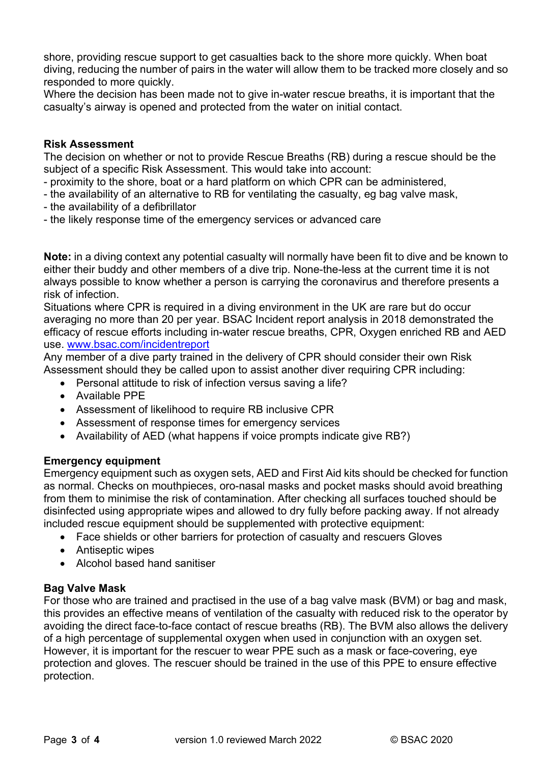shore, providing rescue support to get casualties back to the shore more quickly. When boat diving, reducing the number of pairs in the water will allow them to be tracked more closely and so responded to more quickly.

Where the decision has been made not to give in-water rescue breaths, it is important that the casualty's airway is opened and protected from the water on initial contact.

#### **Risk Assessment**

The decision on whether or not to provide Rescue Breaths (RB) during a rescue should be the subject of a specific Risk Assessment. This would take into account:

- proximity to the shore, boat or a hard platform on which CPR can be administered,
- the availability of an alternative to RB for ventilating the casualty, eg bag valve mask,
- the availability of a defibrillator
- the likely response time of the emergency services or advanced care

**Note:** in a diving context any potential casualty will normally have been fit to dive and be known to either their buddy and other members of a dive trip. None-the-less at the current time it is not always possible to know whether a person is carrying the coronavirus and therefore presents a risk of infection.

Situations where CPR is required in a diving environment in the UK are rare but do occur averaging no more than 20 per year. BSAC Incident report analysis in 2018 demonstrated the efficacy of rescue efforts including in-water rescue breaths, CPR, Oxygen enriched RB and AED use. www.bsac.com/incidentreport

Any member of a dive party trained in the delivery of CPR should consider their own Risk Assessment should they be called upon to assist another diver requiring CPR including:

- Personal attitude to risk of infection versus saving a life?
- Available PPE
- Assessment of likelihood to require RB inclusive CPR
- Assessment of response times for emergency services
- Availability of AED (what happens if voice prompts indicate give RB?)

#### **Emergency equipment**

Emergency equipment such as oxygen sets, AED and First Aid kits should be checked for function as normal. Checks on mouthpieces, oro-nasal masks and pocket masks should avoid breathing from them to minimise the risk of contamination. After checking all surfaces touched should be disinfected using appropriate wipes and allowed to dry fully before packing away. If not already included rescue equipment should be supplemented with protective equipment:

- Face shields or other barriers for protection of casualty and rescuers Gloves
- Antiseptic wipes
- Alcohol based hand sanitiser

#### **Bag Valve Mask**

For those who are trained and practised in the use of a bag valve mask (BVM) or bag and mask, this provides an effective means of ventilation of the casualty with reduced risk to the operator by avoiding the direct face-to-face contact of rescue breaths (RB). The BVM also allows the delivery of a high percentage of supplemental oxygen when used in conjunction with an oxygen set. However, it is important for the rescuer to wear PPE such as a mask or face-covering, eye protection and gloves. The rescuer should be trained in the use of this PPE to ensure effective protection.